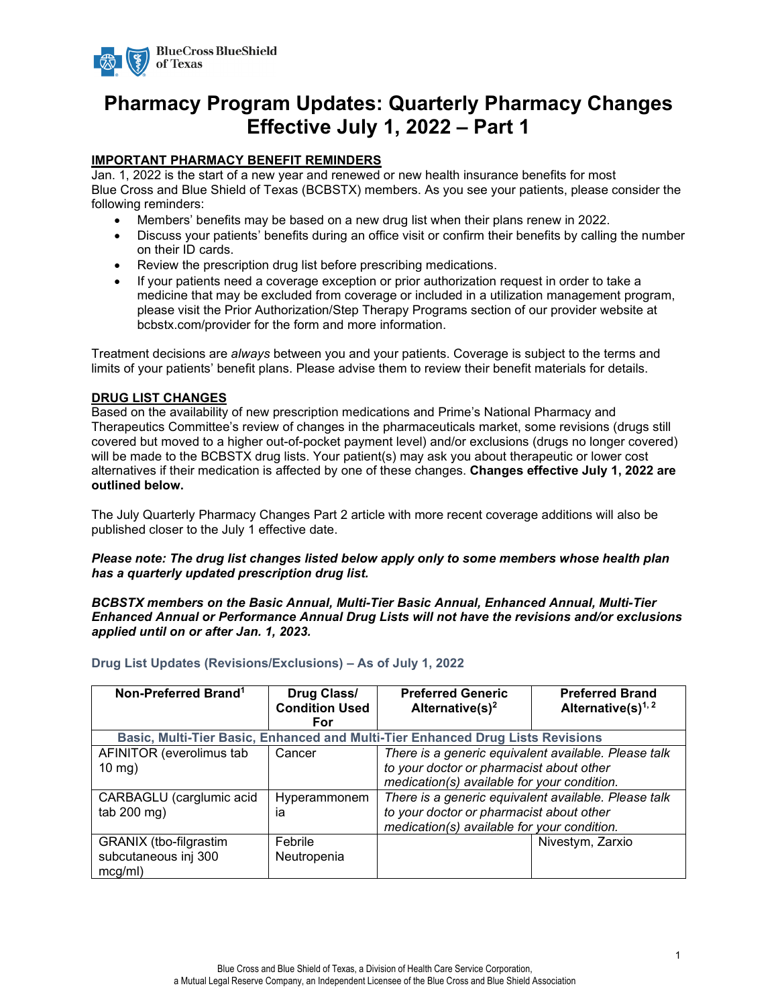

# **Pharmacy Program Updates: Quarterly Pharmacy Changes Effective July 1, 2022 – Part 1**

### **IMPORTANT PHARMACY BENEFIT REMINDERS**

Jan. 1, 2022 is the start of a new year and renewed or new health insurance benefits for most Blue Cross and Blue Shield of Texas (BCBSTX) members. As you see your patients, please consider the following reminders:

- Members' benefits may be based on a new drug list when their plans renew in 2022.
- Discuss your patients' benefits during an office visit or confirm their benefits by calling the number on their ID cards.
- Review the prescription drug list before prescribing medications.
- If your patients need a coverage exception or prior authorization request in order to take a medicine that may be excluded from coverage or included in a utilization management program, please visit the Prior Authorization/Step Therapy Programs section of our provider website at bcbstx.com/provider for the form and more information.

Treatment decisions are *always* between you and your patients. Coverage is subject to the terms and limits of your patients' benefit plans. Please advise them to review their benefit materials for details.

### **DRUG LIST CHANGES**

Based on the availability of new prescription medications and Prime's National Pharmacy and Therapeutics Committee's review of changes in the pharmaceuticals market, some revisions (drugs still covered but moved to a higher out-of-pocket payment level) and/or exclusions (drugs no longer covered) will be made to the BCBSTX drug lists. Your patient(s) may ask you about therapeutic or lower cost alternatives if their medication is affected by one of these changes. **Changes effective July 1, 2022 are outlined below.**

The July Quarterly Pharmacy Changes Part 2 article with more recent coverage additions will also be published closer to the July 1 effective date.

### *Please note: The drug list changes listed below apply only to some members whose health plan has a quarterly updated prescription drug list.*

### *BCBSTX members on the Basic Annual, Multi-Tier Basic Annual, Enhanced Annual, Multi-Tier Enhanced Annual or Performance Annual Drug Lists will not have the revisions and/or exclusions applied until on or after Jan. 1, 2023.*

| Non-Preferred Brand <sup>1</sup>                          | Drug Class/<br><b>Condition Used</b><br>For | <b>Preferred Generic</b><br>Alternative(s) <sup>2</sup>                                                                                         | <b>Preferred Brand</b><br>Alternative(s) $1, 2$ |
|-----------------------------------------------------------|---------------------------------------------|-------------------------------------------------------------------------------------------------------------------------------------------------|-------------------------------------------------|
|                                                           |                                             | Basic, Multi-Tier Basic, Enhanced and Multi-Tier Enhanced Drug Lists Revisions                                                                  |                                                 |
| AFINITOR (everolimus tab<br>$10 \text{ mg}$ )             | Cancer                                      | There is a generic equivalent available. Please talk<br>to your doctor or pharmacist about other<br>medication(s) available for your condition. |                                                 |
| CARBAGLU (carglumic acid<br>tab 200 mg)                   | Hyperammonem<br>ia                          | There is a generic equivalent available. Please talk<br>to your doctor or pharmacist about other<br>medication(s) available for your condition. |                                                 |
| GRANIX (tbo-filgrastim<br>subcutaneous inj 300<br>mcg/ml) | Febrile<br>Neutropenia                      |                                                                                                                                                 | Nivestym, Zarxio                                |

**Drug List Updates (Revisions/Exclusions) – As of July 1, 2022**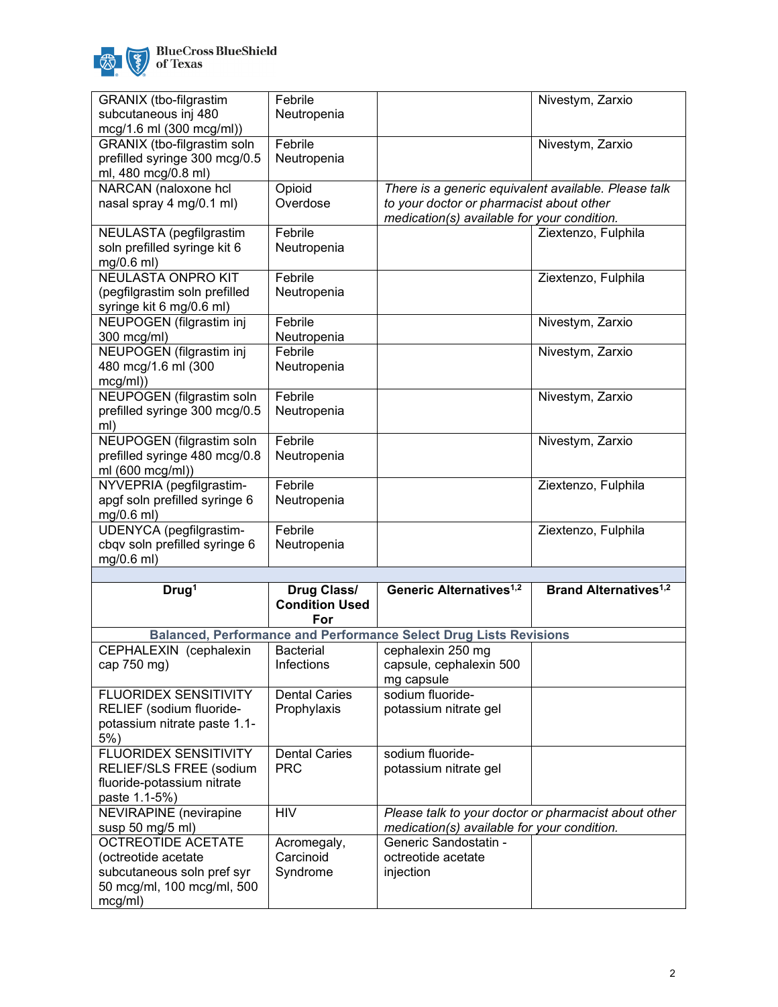

| GRANIX (tbo-filgrastim                                     | Febrile                        |                                                                                                     | Nivestym, Zarxio                        |
|------------------------------------------------------------|--------------------------------|-----------------------------------------------------------------------------------------------------|-----------------------------------------|
| subcutaneous inj 480                                       | Neutropenia                    |                                                                                                     |                                         |
| mcg/1.6 ml (300 mcg/ml))                                   |                                |                                                                                                     |                                         |
| GRANIX (tbo-filgrastim soln                                | Febrile                        |                                                                                                     | Nivestym, Zarxio                        |
| prefilled syringe 300 mcg/0.5                              | Neutropenia                    |                                                                                                     |                                         |
| ml, 480 mcg/0.8 ml)                                        |                                |                                                                                                     |                                         |
| NARCAN (naloxone hcl                                       | Opioid                         | There is a generic equivalent available. Please talk                                                |                                         |
| nasal spray 4 mg/0.1 ml)                                   | Overdose                       | to your doctor or pharmacist about other<br>medication(s) available for your condition.             |                                         |
| NEULASTA (pegfilgrastim                                    | Febrile                        |                                                                                                     | Ziextenzo, Fulphila                     |
| soln prefilled syringe kit 6                               | Neutropenia                    |                                                                                                     |                                         |
| mg/0.6 ml)                                                 |                                |                                                                                                     |                                         |
| <b>NEULASTA ONPRO KIT</b>                                  | Febrile                        |                                                                                                     | Ziextenzo, Fulphila                     |
| (pegfilgrastim soln prefilled                              | Neutropenia                    |                                                                                                     |                                         |
| syringe kit 6 mg/0.6 ml)                                   |                                |                                                                                                     |                                         |
| NEUPOGEN (filgrastim inj                                   | Febrile                        |                                                                                                     | Nivestym, Zarxio                        |
| 300 mcg/ml)                                                | Neutropenia                    |                                                                                                     |                                         |
| NEUPOGEN (filgrastim inj                                   | Febrile                        |                                                                                                     | Nivestym, Zarxio                        |
| 480 mcg/1.6 ml (300                                        | Neutropenia                    |                                                                                                     |                                         |
| mcg/ml)                                                    | Febrile                        |                                                                                                     |                                         |
| NEUPOGEN (filgrastim soln<br>prefilled syringe 300 mcg/0.5 | Neutropenia                    |                                                                                                     | Nivestym, Zarxio                        |
| ml)                                                        |                                |                                                                                                     |                                         |
| NEUPOGEN (filgrastim soln                                  | Febrile                        |                                                                                                     | Nivestym, Zarxio                        |
| prefilled syringe 480 mcg/0.8                              | Neutropenia                    |                                                                                                     |                                         |
| ml (600 mcg/ml))                                           |                                |                                                                                                     |                                         |
| NYVEPRIA (pegfilgrastim-                                   | Febrile                        |                                                                                                     | Ziextenzo, Fulphila                     |
| apgf soln prefilled syringe 6                              | Neutropenia                    |                                                                                                     |                                         |
| mg/0.6 ml)                                                 |                                |                                                                                                     |                                         |
| UDENYCA (pegfilgrastim-<br>cbqv soln prefilled syringe 6   | Febrile<br>Neutropenia         |                                                                                                     | Ziextenzo, Fulphila                     |
| mg/0.6 ml)                                                 |                                |                                                                                                     |                                         |
|                                                            |                                |                                                                                                     |                                         |
| Drug <sup>1</sup>                                          | Drug Class/                    | Generic Alternatives <sup>1,2</sup>                                                                 | <b>Brand Alternatives<sup>1,2</sup></b> |
|                                                            | <b>Condition Used</b>          |                                                                                                     |                                         |
|                                                            | For                            |                                                                                                     |                                         |
|                                                            |                                | <b>Balanced, Performance and Performance Select Drug Lists Revisions</b>                            |                                         |
| CEPHALEXIN (cephalexin                                     | <b>Bacterial</b><br>Infections | cephalexin 250 mg                                                                                   |                                         |
| cap 750 mg)                                                |                                | capsule, cephalexin 500<br>mg capsule                                                               |                                         |
| <b>FLUORIDEX SENSITIVITY</b>                               | <b>Dental Caries</b>           | sodium fluoride-                                                                                    |                                         |
| RELIEF (sodium fluoride-                                   | Prophylaxis                    | potassium nitrate gel                                                                               |                                         |
| potassium nitrate paste 1.1-                               |                                |                                                                                                     |                                         |
| $5%$ )                                                     |                                |                                                                                                     |                                         |
| FLUORIDEX SENSITIVITY                                      | <b>Dental Caries</b>           | sodium fluoride-                                                                                    |                                         |
| RELIEF/SLS FREE (sodium                                    | <b>PRC</b>                     | potassium nitrate gel                                                                               |                                         |
| fluoride-potassium nitrate                                 |                                |                                                                                                     |                                         |
| paste 1.1-5%)                                              |                                |                                                                                                     |                                         |
| <b>NEVIRAPINE</b> (nevirapine                              | <b>HIV</b>                     | Please talk to your doctor or pharmacist about other<br>medication(s) available for your condition. |                                         |
| susp 50 mg/5 ml)<br><b>OCTREOTIDE ACETATE</b>              | Acromegaly,                    | Generic Sandostatin -                                                                               |                                         |
| (octreotide acetate                                        | Carcinoid                      | octreotide acetate                                                                                  |                                         |
| subcutaneous soln pref syr                                 | Syndrome                       | injection                                                                                           |                                         |
| 50 mcg/ml, 100 mcg/ml, 500                                 |                                |                                                                                                     |                                         |
| mcg/ml)                                                    |                                |                                                                                                     |                                         |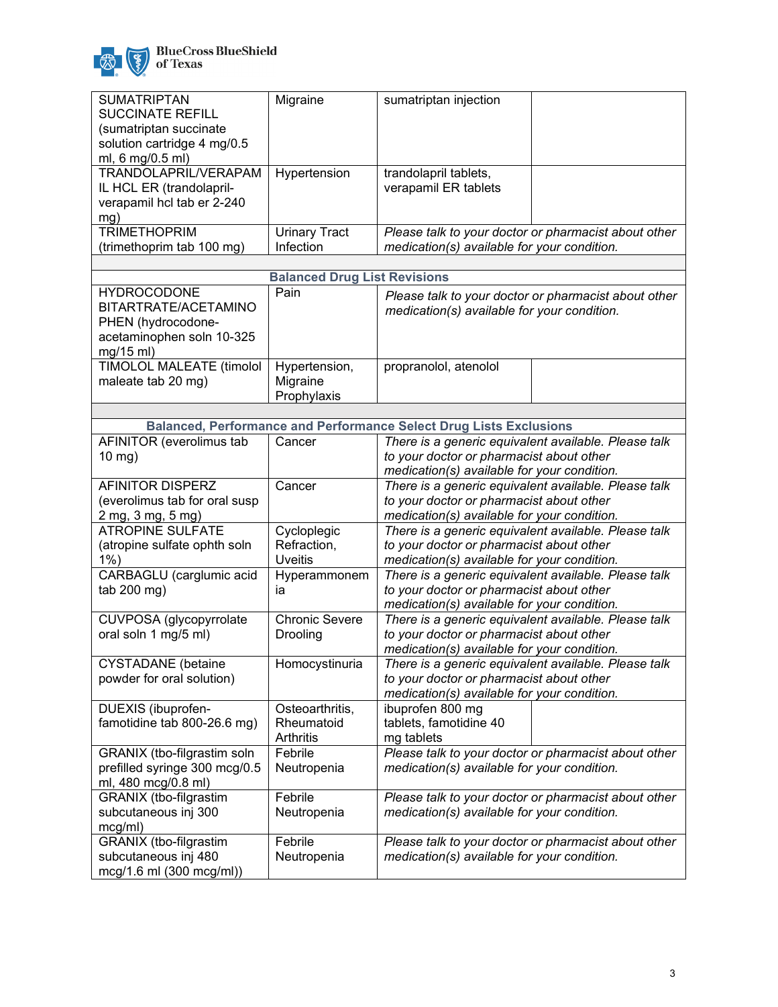

| BlueCross BlueShield<br>of Texas |
|----------------------------------|
|                                  |

| <b>SUMATRIPTAN</b><br><b>SUCCINATE REFILL</b><br>(sumatriptan succinate<br>solution cartridge 4 mg/0.5<br>ml, 6 mg/0.5 ml) | Migraine                                     | sumatriptan injection                                                                                                                           |                                                      |
|----------------------------------------------------------------------------------------------------------------------------|----------------------------------------------|-------------------------------------------------------------------------------------------------------------------------------------------------|------------------------------------------------------|
| TRANDOLAPRIL/VERAPAM<br>IL HCL ER (trandolapril-<br>verapamil hcl tab er 2-240<br>mg)                                      | Hypertension                                 | trandolapril tablets,<br>verapamil ER tablets                                                                                                   |                                                      |
| <b>TRIMETHOPRIM</b><br>(trimethoprim tab 100 mg)                                                                           | <b>Urinary Tract</b><br>Infection            | medication(s) available for your condition.                                                                                                     | Please talk to your doctor or pharmacist about other |
|                                                                                                                            | <b>Balanced Drug List Revisions</b>          |                                                                                                                                                 |                                                      |
| <b>HYDROCODONE</b><br>BITARTRATE/ACETAMINO<br>PHEN (hydrocodone-<br>acetaminophen soln 10-325<br>mg/15 ml)                 | Pain                                         | medication(s) available for your condition.                                                                                                     | Please talk to your doctor or pharmacist about other |
| <b>TIMOLOL MALEATE (timolol</b><br>maleate tab 20 mg)                                                                      | Hypertension,<br>Migraine<br>Prophylaxis     | propranolol, atenolol                                                                                                                           |                                                      |
|                                                                                                                            |                                              |                                                                                                                                                 |                                                      |
|                                                                                                                            |                                              | <b>Balanced, Performance and Performance Select Drug Lists Exclusions</b><br>There is a generic equivalent available. Please talk               |                                                      |
| AFINITOR (everolimus tab<br>$10$ mg)                                                                                       | Cancer                                       | to your doctor or pharmacist about other<br>medication(s) available for your condition.                                                         |                                                      |
| <b>AFINITOR DISPERZ</b><br>(everolimus tab for oral susp<br>2 mg, 3 mg, 5 mg)                                              | Cancer                                       | There is a generic equivalent available. Please talk<br>to your doctor or pharmacist about other<br>medication(s) available for your condition. |                                                      |
| <b>ATROPINE SULFATE</b><br>(atropine sulfate ophth soln<br>$1%$ )                                                          | Cycloplegic<br>Refraction,<br><b>Uveitis</b> | There is a generic equivalent available. Please talk<br>to your doctor or pharmacist about other<br>medication(s) available for your condition. |                                                      |
| CARBAGLU (carglumic acid<br>tab 200 mg)                                                                                    | Hyperammonem<br>ia                           | There is a generic equivalent available. Please talk<br>to your doctor or pharmacist about other<br>medication(s) available for your condition. |                                                      |
| CUVPOSA (glycopyrrolate<br>oral soln 1 mg/5 ml)                                                                            | <b>Chronic Severe</b><br>Drooling            | There is a generic equivalent available. Please talk<br>to your doctor or pharmacist about other<br>medication(s) available for your condition. |                                                      |
| <b>CYSTADANE</b> (betaine<br>powder for oral solution)                                                                     | Homocystinuria                               | There is a generic equivalent available. Please talk<br>to your doctor or pharmacist about other<br>medication(s) available for your condition. |                                                      |
| DUEXIS (ibuprofen-<br>famotidine tab 800-26.6 mg)                                                                          | Osteoarthritis,<br>Rheumatoid<br>Arthritis   | ibuprofen 800 mg<br>tablets, famotidine 40<br>mg tablets                                                                                        |                                                      |
| GRANIX (tbo-filgrastim soln<br>prefilled syringe 300 mcg/0.5<br>ml, 480 mcg/0.8 ml)                                        | Febrile<br>Neutropenia                       | medication(s) available for your condition.                                                                                                     | Please talk to your doctor or pharmacist about other |
| GRANIX (tbo-filgrastim<br>subcutaneous inj 300<br>mcg/ml)                                                                  | Febrile<br>Neutropenia                       | medication(s) available for your condition.                                                                                                     | Please talk to your doctor or pharmacist about other |
| GRANIX (tbo-filgrastim<br>subcutaneous inj 480<br>mcg/1.6 ml (300 mcg/ml))                                                 | Febrile<br>Neutropenia                       | medication(s) available for your condition.                                                                                                     | Please talk to your doctor or pharmacist about other |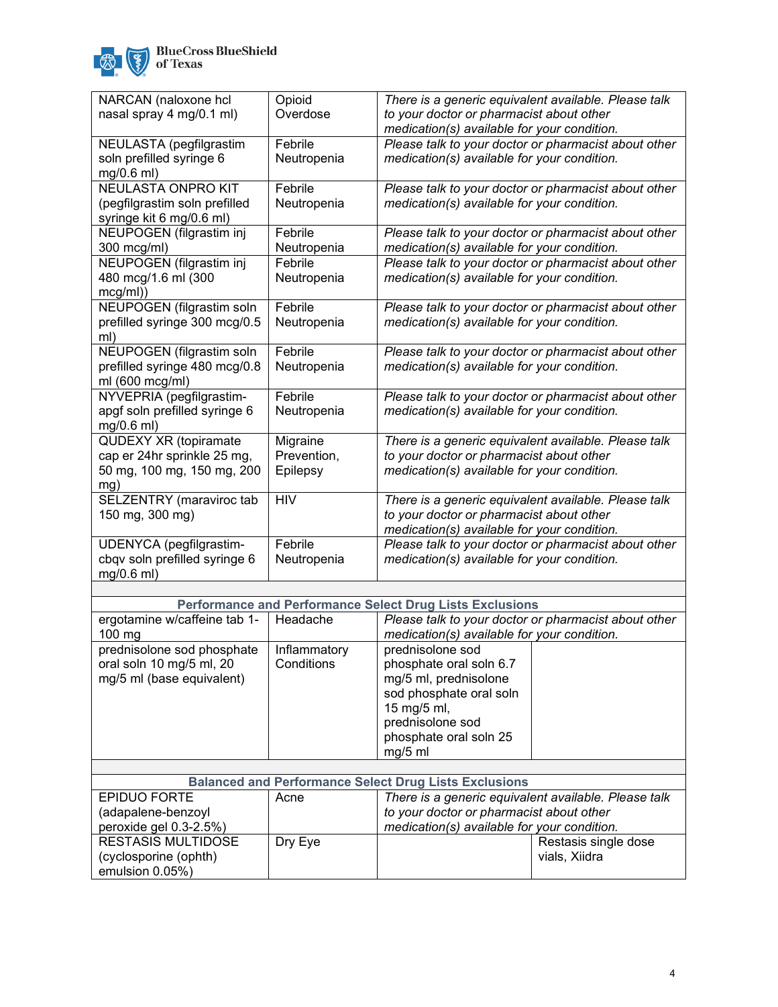

| NARCAN (naloxone hcl                                         | Opioid       | There is a generic equivalent available. Please talk            |
|--------------------------------------------------------------|--------------|-----------------------------------------------------------------|
| nasal spray 4 mg/0.1 ml)                                     | Overdose     | to your doctor or pharmacist about other                        |
|                                                              |              | medication(s) available for your condition.                     |
| NEULASTA (pegfilgrastim                                      | Febrile      | Please talk to your doctor or pharmacist about other            |
| soln prefilled syringe 6                                     | Neutropenia  | medication(s) available for your condition.                     |
| mg/0.6 ml)                                                   |              |                                                                 |
| NEULASTA ONPRO KIT                                           | Febrile      |                                                                 |
|                                                              |              | Please talk to your doctor or pharmacist about other            |
| (pegfilgrastim soln prefilled                                | Neutropenia  | medication(s) available for your condition.                     |
| syringe kit 6 mg/0.6 ml)                                     |              |                                                                 |
| NEUPOGEN (filgrastim inj                                     | Febrile      | Please talk to your doctor or pharmacist about other            |
| 300 mcg/ml)                                                  | Neutropenia  | medication(s) available for your condition.                     |
| NEUPOGEN (filgrastim inj                                     | Febrile      | Please talk to your doctor or pharmacist about other            |
| 480 mcg/1.6 ml (300                                          | Neutropenia  | medication(s) available for your condition.                     |
| mcg/ml)                                                      |              |                                                                 |
| NEUPOGEN (filgrastim soln                                    | Febrile      | Please talk to your doctor or pharmacist about other            |
| prefilled syringe 300 mcg/0.5                                | Neutropenia  | medication(s) available for your condition.                     |
| ml)                                                          |              |                                                                 |
| NEUPOGEN (filgrastim soln                                    | Febrile      | Please talk to your doctor or pharmacist about other            |
| prefilled syringe 480 mcg/0.8                                | Neutropenia  | medication(s) available for your condition.                     |
| ml (600 mcg/ml)                                              |              |                                                                 |
| NYVEPRIA (pegfilgrastim-                                     | Febrile      | Please talk to your doctor or pharmacist about other            |
| apgf soln prefilled syringe 6                                | Neutropenia  | medication(s) available for your condition.                     |
| mg/0.6 ml)                                                   |              |                                                                 |
| <b>QUDEXY XR (topiramate</b>                                 | Migraine     | There is a generic equivalent available. Please talk            |
| cap er 24hr sprinkle 25 mg,                                  | Prevention,  | to your doctor or pharmacist about other                        |
|                                                              |              |                                                                 |
| 50 mg, 100 mg, 150 mg, 200                                   | Epilepsy     | medication(s) available for your condition.                     |
| mg)                                                          | <b>HIV</b>   |                                                                 |
| SELZENTRY (maraviroc tab                                     |              | There is a generic equivalent available. Please talk            |
| 150 mg, 300 mg)                                              |              | to your doctor or pharmacist about other                        |
|                                                              |              | medication(s) available for your condition.                     |
| UDENYCA (pegfilgrastim-                                      | Febrile      | Please talk to your doctor or pharmacist about other            |
| cbqv soln prefilled syringe 6                                | Neutropenia  | medication(s) available for your condition.                     |
| mg/0.6 ml)                                                   |              |                                                                 |
|                                                              |              |                                                                 |
|                                                              |              | <b>Performance and Performance Select Drug Lists Exclusions</b> |
| ergotamine w/caffeine tab 1-                                 | Headache     | Please talk to your doctor or pharmacist about other            |
| 100 mg                                                       |              | medication(s) available for your condition.                     |
| prednisolone sod phosphate                                   | Inflammatory | prednisolone sod                                                |
| oral soln 10 mg/5 ml, 20                                     | Conditions   | phosphate oral soln 6.7                                         |
| mg/5 ml (base equivalent)                                    |              | mg/5 ml, prednisolone                                           |
|                                                              |              | sod phosphate oral soln                                         |
|                                                              |              | 15 mg/5 ml,                                                     |
|                                                              |              | prednisolone sod                                                |
|                                                              |              | phosphate oral soln 25                                          |
|                                                              |              | mg/5 ml                                                         |
|                                                              |              |                                                                 |
| <b>Balanced and Performance Select Drug Lists Exclusions</b> |              |                                                                 |
| <b>EPIDUO FORTE</b>                                          |              | There is a generic equivalent available. Please talk            |
| (adapalene-benzovl                                           | Acne         | to your doctor or pharmacist about other                        |
|                                                              |              |                                                                 |

| (adapalene-benzoyl     |         | to your doctor or pharmacist about other    |                      |
|------------------------|---------|---------------------------------------------|----------------------|
| peroxide gel 0.3-2.5%) |         | medication(s) available for your condition. |                      |
| RESTASIS MULTIDOSE     | Dry Eye |                                             | Restasis single dose |
| (cyclosporine (ophth)  |         |                                             | vials. Xiidra        |
| emulsion $0.05\%$ )    |         |                                             |                      |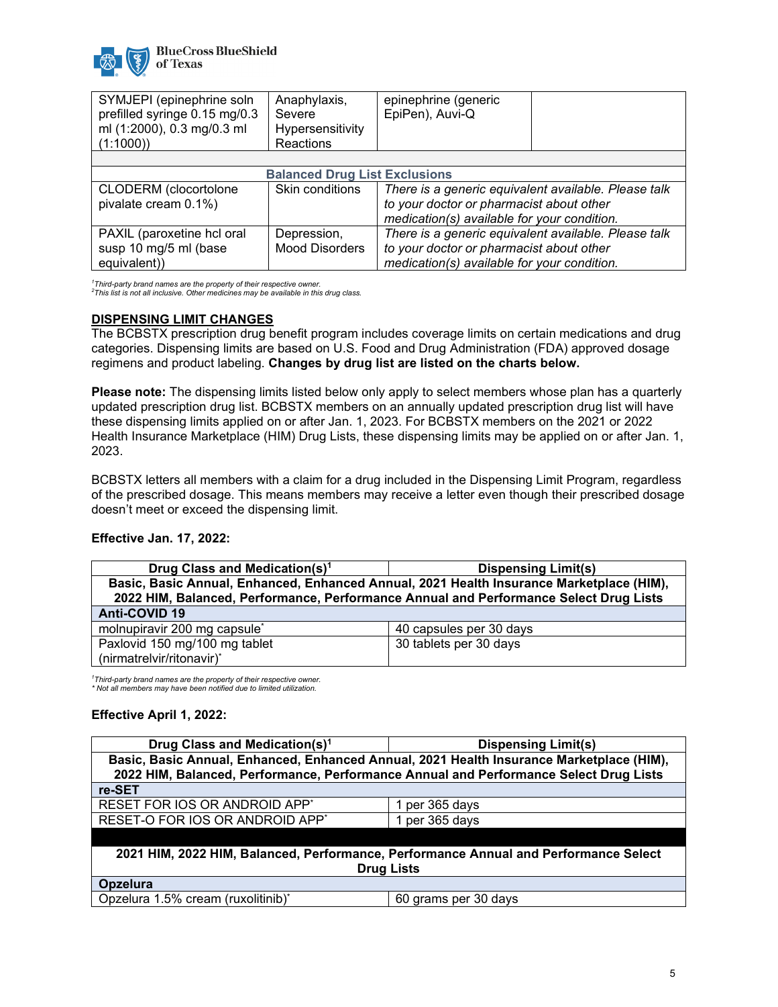

| SYMJEPI (epinephrine soln                            | Anaphylaxis,          | epinephrine (generic                                                                             |  |
|------------------------------------------------------|-----------------------|--------------------------------------------------------------------------------------------------|--|
| prefilled syringe 0.15 mg/0.3                        | Severe                | EpiPen), Auvi-Q                                                                                  |  |
| ml (1:2000), 0.3 mg/0.3 ml                           | Hypersensitivity      |                                                                                                  |  |
| (1:1000)                                             | <b>Reactions</b>      |                                                                                                  |  |
|                                                      |                       |                                                                                                  |  |
| <b>Balanced Drug List Exclusions</b>                 |                       |                                                                                                  |  |
| <b>CLODERM</b> (clocortolone<br>pivalate cream 0.1%) | Skin conditions       | There is a generic equivalent available. Please talk<br>to your doctor or pharmacist about other |  |
|                                                      |                       | medication(s) available for your condition.                                                      |  |
| PAXIL (paroxetine hcl oral                           | Depression,           | There is a generic equivalent available. Please talk                                             |  |
| susp 10 mg/5 ml (base                                | <b>Mood Disorders</b> | to your doctor or pharmacist about other                                                         |  |
| equivalent))                                         |                       | medication(s) available for your condition.                                                      |  |

*1 Third-party brand names are the property of their respective owner. <sup>2</sup> This list is not all inclusive. Other medicines may be available in this drug class.*

### **DISPENSING LIMIT CHANGES**

The BCBSTX prescription drug benefit program includes coverage limits on certain medications and drug categories. Dispensing limits are based on U.S. Food and Drug Administration (FDA) approved dosage regimens and product labeling. **Changes by drug list are listed on the charts below.**

**Please note:** The dispensing limits listed below only apply to select members whose plan has a quarterly updated prescription drug list. BCBSTX members on an annually updated prescription drug list will have these dispensing limits applied on or after Jan. 1, 2023. For BCBSTX members on the 2021 or 2022 Health Insurance Marketplace (HIM) Drug Lists, these dispensing limits may be applied on or after Jan. 1, 2023.

BCBSTX letters all members with a claim for a drug included in the Dispensing Limit Program, regardless of the prescribed dosage. This means members may receive a letter even though their prescribed dosage doesn't meet or exceed the dispensing limit.

### **Effective Jan. 17, 2022:**

| Drug Class and Medication(s) <sup>1</sup>                                             | <b>Dispensing Limit(s)</b>                                                               |
|---------------------------------------------------------------------------------------|------------------------------------------------------------------------------------------|
|                                                                                       | Basic, Basic Annual, Enhanced, Enhanced Annual, 2021 Health Insurance Marketplace (HIM), |
| 2022 HIM, Balanced, Performance, Performance Annual and Performance Select Drug Lists |                                                                                          |
| Anti-COVID 19                                                                         |                                                                                          |
| molnupiravir 200 mg capsule <sup>*</sup>                                              | 40 capsules per 30 days                                                                  |
| Paxlovid 150 mg/100 mg tablet                                                         | 30 tablets per 30 days                                                                   |
| (nirmatrelvir/ritonavir)*                                                             |                                                                                          |

*1 Third-party brand names are the property of their respective owner. \* Not all members may have been notified due to limited utilization.*

### **Effective April 1, 2022:**

| Drug Class and Medication(s) <sup>1</sup>                                            | <b>Dispensing Limit(s)</b>                                                               |  |
|--------------------------------------------------------------------------------------|------------------------------------------------------------------------------------------|--|
|                                                                                      | Basic, Basic Annual, Enhanced, Enhanced Annual, 2021 Health Insurance Marketplace (HIM), |  |
|                                                                                      | 2022 HIM, Balanced, Performance, Performance Annual and Performance Select Drug Lists    |  |
| re-SET                                                                               |                                                                                          |  |
| RESET FOR IOS OR ANDROID APP*                                                        | 1 per 365 days                                                                           |  |
| RESET-O FOR IOS OR ANDROID APP <sup>*</sup>                                          | 1 per 365 days                                                                           |  |
|                                                                                      |                                                                                          |  |
| 2021 HIM, 2022 HIM, Balanced, Performance, Performance Annual and Performance Select |                                                                                          |  |
| <b>Drug Lists</b>                                                                    |                                                                                          |  |
| Opzelura                                                                             |                                                                                          |  |
| Opzelura 1.5% cream (ruxolitinib)*                                                   | 60 grams per 30 days                                                                     |  |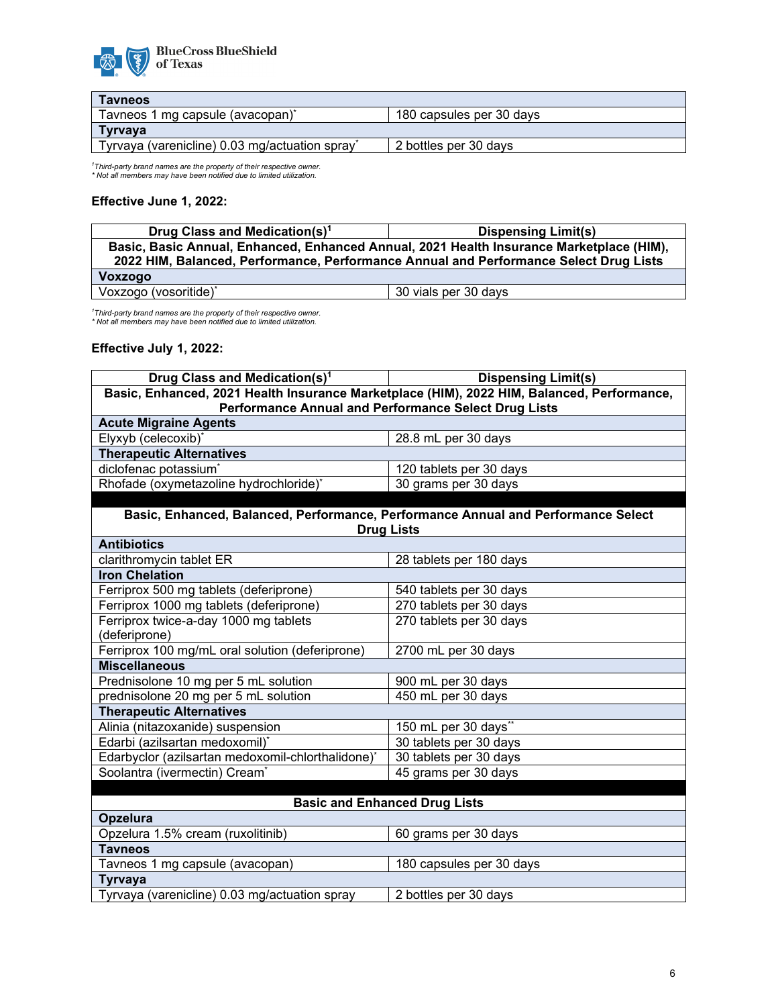

| <b>Tavneos</b>                                 |                          |
|------------------------------------------------|--------------------------|
| Tavneos 1 mg capsule (avacopan)                | 180 capsules per 30 days |
| <b>Tyrvava</b>                                 |                          |
| Tyrvaya (varenicline) 0.03 mg/actuation spray* | 2 bottles per 30 days    |
|                                                |                          |

*1 Third-party brand names are the property of their respective owner. \* Not all members may have been notified due to limited utilization.*

# **Effective June 1, 2022:**

| Drug Class and Medication(s) <sup>1</sup>                                                                                                                                         | <b>Dispensing Limit(s)</b> |  |
|-----------------------------------------------------------------------------------------------------------------------------------------------------------------------------------|----------------------------|--|
| Basic, Basic Annual, Enhanced, Enhanced Annual, 2021 Health Insurance Marketplace (HIM),<br>2022 HIM, Balanced, Performance, Performance Annual and Performance Select Drug Lists |                            |  |
| Voxzogo                                                                                                                                                                           |                            |  |
| Voxzogo (vosoritide)*                                                                                                                                                             | 30 vials per 30 days       |  |

*1 Third-party brand names are the property of their respective owner. \* Not all members may have been notified due to limited utilization.*

## **Effective July 1, 2022:**

| Drug Class and Medication(s) <sup>1</sup>            | <b>Dispensing Limit(s)</b>                                                                 |  |
|------------------------------------------------------|--------------------------------------------------------------------------------------------|--|
|                                                      | Basic, Enhanced, 2021 Health Insurance Marketplace (HIM), 2022 HIM, Balanced, Performance, |  |
| Performance Annual and Performance Select Drug Lists |                                                                                            |  |
| <b>Acute Migraine Agents</b>                         |                                                                                            |  |
| Elyxyb (celecoxib)*                                  | 28.8 mL per 30 days                                                                        |  |
| <b>Therapeutic Alternatives</b>                      |                                                                                            |  |
| diclofenac potassium <sup>*</sup>                    | 120 tablets per 30 days                                                                    |  |
| Rhofade (oxymetazoline hydrochloride)*               | 30 grams per 30 days                                                                       |  |
|                                                      |                                                                                            |  |
|                                                      | Basic, Enhanced, Balanced, Performance, Performance Annual and Performance Select          |  |
|                                                      | <b>Drug Lists</b>                                                                          |  |
| <b>Antibiotics</b>                                   |                                                                                            |  |
| clarithromycin tablet ER                             | 28 tablets per 180 days                                                                    |  |
| <b>Iron Chelation</b>                                |                                                                                            |  |
| Ferriprox 500 mg tablets (deferiprone)               | 540 tablets per 30 days                                                                    |  |
| Ferriprox 1000 mg tablets (deferiprone)              | 270 tablets per 30 days                                                                    |  |
| Ferriprox twice-a-day 1000 mg tablets                | 270 tablets per 30 days                                                                    |  |
| (deferiprone)                                        |                                                                                            |  |
| Ferriprox 100 mg/mL oral solution (deferiprone)      | 2700 mL per 30 days                                                                        |  |
| <b>Miscellaneous</b>                                 |                                                                                            |  |
| Prednisolone 10 mg per 5 mL solution                 | 900 mL per 30 days                                                                         |  |
| prednisolone 20 mg per 5 mL solution                 | 450 mL per 30 days                                                                         |  |
| <b>Therapeutic Alternatives</b>                      |                                                                                            |  |
| Alinia (nitazoxanide) suspension                     | 150 mL per 30 days**                                                                       |  |
| Edarbi (azilsartan medoxomil)*                       | 30 tablets per 30 days                                                                     |  |
| Edarbyclor (azilsartan medoxomil-chlorthalidone)*    | 30 tablets per 30 days                                                                     |  |
| Soolantra (ivermectin) Cream <sup>*</sup>            | 45 grams per 30 days                                                                       |  |
|                                                      |                                                                                            |  |
| <b>Basic and Enhanced Drug Lists</b>                 |                                                                                            |  |
| Opzelura                                             |                                                                                            |  |
| Opzelura 1.5% cream (ruxolitinib)                    | 60 grams per 30 days                                                                       |  |
| <b>Tavneos</b>                                       |                                                                                            |  |
| Tavneos 1 mg capsule (avacopan)                      | 180 capsules per 30 days                                                                   |  |
| <b>Tyrvaya</b>                                       |                                                                                            |  |
| Tyrvaya (varenicline) 0.03 mg/actuation spray        | 2 bottles per 30 days                                                                      |  |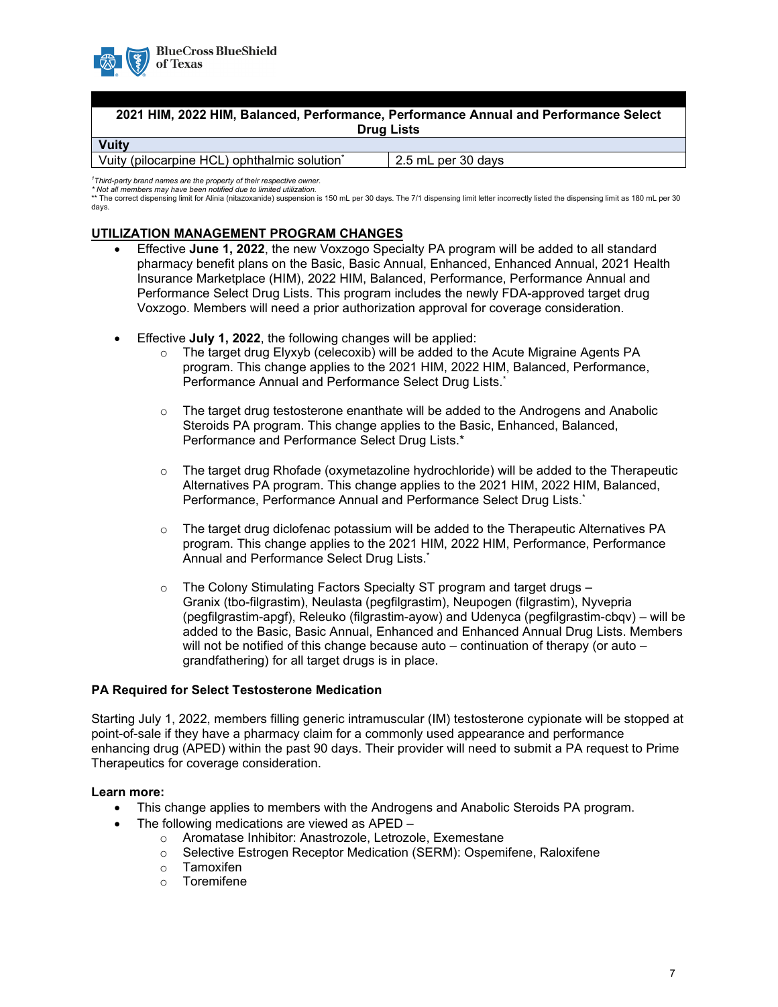

### **2021 HIM, 2022 HIM, Balanced, Performance, Performance Annual and Performance Select Drug Lists Vuity**

Vuity (pilocarpine HCL) ophthalmic solution\* 2.5 mL per 30 days

*1 Third-party brand names are the property of their respective owner. \* Not all members may have been notified due to limited utilization.*

\*\* The correct dispensing limit for Alinia (nitazoxanide) suspension is 150 mL per 30 days. The 7/1 dispensing limit letter incorrectly listed the dispensing limit as 180 mL per 30 days.

### **UTILIZATION MANAGEMENT PROGRAM CHANGES**

- Effective **June 1, 2022**, the new Voxzogo Specialty PA program will be added to all standard pharmacy benefit plans on the Basic, Basic Annual, Enhanced, Enhanced Annual, 2021 Health Insurance Marketplace (HIM), 2022 HIM, Balanced, Performance, Performance Annual and Performance Select Drug Lists. This program includes the newly FDA-approved target drug Voxzogo. Members will need a prior authorization approval for coverage consideration.
- Effective **July 1, 2022**, the following changes will be applied:
	- $\circ$  The target drug Elyxyb (celecoxib) will be added to the Acute Migraine Agents PA program. This change applies to the 2021 HIM, 2022 HIM, Balanced, Performance, Performance Annual and Performance Select Drug Lists.<sup>\*</sup>
	- $\circ$  The target drug testosterone enanthate will be added to the Androgens and Anabolic Steroids PA program. This change applies to the Basic, Enhanced, Balanced, Performance and Performance Select Drug Lists.\*
	- $\circ$  The target drug Rhofade (oxymetazoline hydrochloride) will be added to the Therapeutic Alternatives PA program. This change applies to the 2021 HIM, 2022 HIM, Balanced, Performance, Performance Annual and Performance Select Drug Lists.\*
	- $\circ$  The target drug diclofenac potassium will be added to the Therapeutic Alternatives PA program. This change applies to the 2021 HIM, 2022 HIM, Performance, Performance Annual and Performance Select Drug Lists.\*
	- o The Colony Stimulating Factors Specialty ST program and target drugs Granix (tbo-filgrastim), Neulasta (pegfilgrastim), Neupogen (filgrastim), Nyvepria (pegfilgrastim-apgf), Releuko (filgrastim-ayow) and Udenyca (pegfilgrastim-cbqv) – will be added to the Basic, Basic Annual, Enhanced and Enhanced Annual Drug Lists. Members will not be notified of this change because auto – continuation of therapy (or auto – grandfathering) for all target drugs is in place.

### **PA Required for Select Testosterone Medication**

Starting July 1, 2022, members filling generic intramuscular (IM) testosterone cypionate will be stopped at point-of-sale if they have a pharmacy claim for a commonly used appearance and performance enhancing drug (APED) within the past 90 days. Their provider will need to submit a PA request to Prime Therapeutics for coverage consideration.

### **Learn more:**

- This change applies to members with the Androgens and Anabolic Steroids PA program.
- The following medications are viewed as APED
	- Aromatase Inhibitor: Anastrozole, Letrozole, Exemestane<br>○ Selective Estrogen Receptor Medication (SERM): Ospem
	- Selective Estrogen Receptor Medication (SERM): Ospemifene, Raloxifene
	- o Tamoxifen<br>o Toremifene
	- **Toremifene**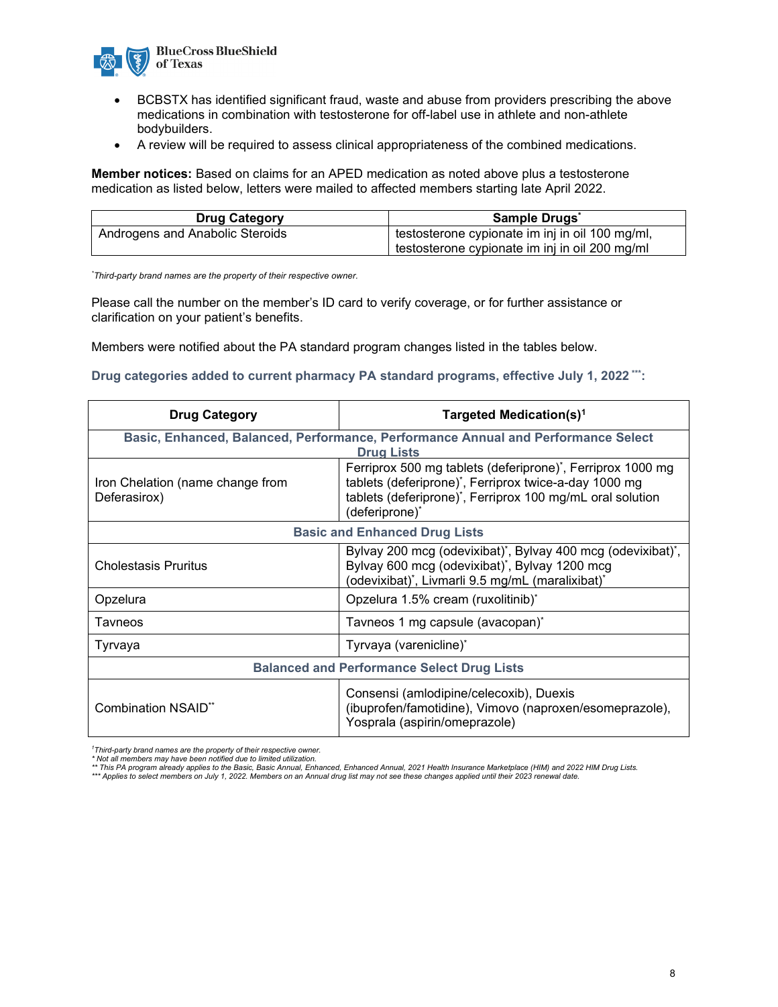

- BCBSTX has identified significant fraud, waste and abuse from providers prescribing the above medications in combination with testosterone for off-label use in athlete and non-athlete bodybuilders.
- A review will be required to assess clinical appropriateness of the combined medications.

**Member notices:** Based on claims for an APED medication as noted above plus a testosterone medication as listed below, letters were mailed to affected members starting late April 2022.

| <b>Drug Category</b>            | Sample Drugs                                    |  |
|---------------------------------|-------------------------------------------------|--|
| Androgens and Anabolic Steroids | testosterone cypionate im inj in oil 100 mg/ml, |  |
|                                 | testosterone cypionate im inj in oil 200 mg/ml  |  |

*\* Third-party brand names are the property of their respective owner.*

Please call the number on the member's ID card to verify coverage, or for further assistance or clarification on your patient's benefits.

Members were notified about the PA standard program changes listed in the tables below.

**Drug categories added to current pharmacy PA standard programs, effective July 1, 2022 \*\*\*:** 

| <b>Drug Category</b>                                                                                   | Targeted Medication(s) <sup>1</sup>                                                                                                                                                                |  |  |
|--------------------------------------------------------------------------------------------------------|----------------------------------------------------------------------------------------------------------------------------------------------------------------------------------------------------|--|--|
| Basic, Enhanced, Balanced, Performance, Performance Annual and Performance Select<br><b>Drug Lists</b> |                                                                                                                                                                                                    |  |  |
| Iron Chelation (name change from<br>Deferasirox)                                                       | Ferriprox 500 mg tablets (deferiprone)*, Ferriprox 1000 mg<br>tablets (deferiprone)*, Ferriprox twice-a-day 1000 mg<br>tablets (deferiprone)*, Ferriprox 100 mg/mL oral solution<br>(deferiprone)* |  |  |
| <b>Basic and Enhanced Drug Lists</b>                                                                   |                                                                                                                                                                                                    |  |  |
| <b>Cholestasis Pruritus</b>                                                                            | Bylvay 200 mcg (odevixibat), Bylvay 400 mcg (odevixibat),<br>Bylvay 600 mcg (odevixibat)*, Bylvay 1200 mcg<br>(odevixibat)*, Livmarli 9.5 mg/mL (maralixibat)*                                     |  |  |
| Opzelura                                                                                               | Opzelura 1.5% cream (ruxolitinib)*                                                                                                                                                                 |  |  |
| Tavneos                                                                                                | Tavneos 1 mg capsule (avacopan) <sup>*</sup>                                                                                                                                                       |  |  |
| Tyrvaya                                                                                                | Tyrvaya (varenicline)*                                                                                                                                                                             |  |  |
| <b>Balanced and Performance Select Drug Lists</b>                                                      |                                                                                                                                                                                                    |  |  |
| <b>Combination NSAID**</b>                                                                             | Consensi (amlodipine/celecoxib), Duexis<br>(ibuprofen/famotidine), Vimovo (naproxen/esomeprazole),<br>Yosprala (aspirin/omeprazole)                                                                |  |  |

*1 Third-party brand names are the property of their respective owner.*

\* Not all members may have been notified due to limited utilization.<br>\*\* This PA program already applies to the Basic, Basic Annual, Enhanced Annual, 2021 Health Insurance Marketplace (HIM) and 2022 HIM Drug Lists.<br>\*\*\* Appl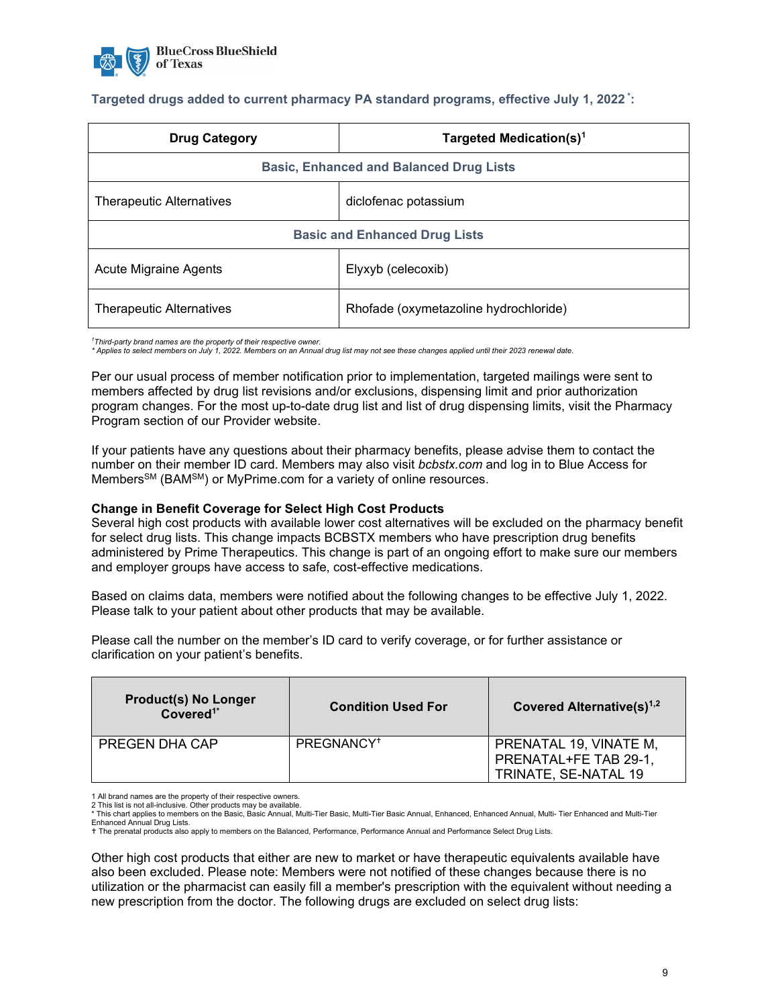

### **Targeted drugs added to current pharmacy PA standard programs, effective July 1, 2022 \*:**

| <b>Drug Category</b>                           | Targeted Medication(s) <sup>1</sup>   |  |
|------------------------------------------------|---------------------------------------|--|
| <b>Basic, Enhanced and Balanced Drug Lists</b> |                                       |  |
| <b>Therapeutic Alternatives</b>                | diclofenac potassium                  |  |
| <b>Basic and Enhanced Drug Lists</b>           |                                       |  |
| Acute Migraine Agents                          | Elyxyb (celecoxib)                    |  |
| <b>Therapeutic Alternatives</b>                | Rhofade (oxymetazoline hydrochloride) |  |

<sup>1</sup>Third-party brand names are the property of their respective owner.<br>\* Applies to select members on July 1, 2022. Members on an Annual drug list may not see these changes applied until their 2023 renewal date.

Per our usual process of member notification prior to implementation, targeted mailings were sent to members affected by drug list revisions and/or exclusions, dispensing limit and prior authorization program changes. For the most up-to-date drug list and list of drug dispensing limits, visit the Pharmacy Program section of our Provider website.

If your patients have any questions about their pharmacy benefits, please advise them to contact the number on their member ID card. Members may also visit *bcbstx.com* and log in to Blue Access for Members<sup>SM</sup> (BAM<sup>SM</sup>) or MyPrime.com for a variety of online resources.

#### **Change in Benefit Coverage for Select High Cost Products**

Several high cost products with available lower cost alternatives will be excluded on the pharmacy benefit for select drug lists. This change impacts BCBSTX members who have prescription drug benefits administered by Prime Therapeutics. This change is part of an ongoing effort to make sure our members and employer groups have access to safe, cost-effective medications.

Based on claims data, members were notified about the following changes to be effective July 1, 2022. Please talk to your patient about other products that may be available.

| <b>Product(s) No Longer</b><br>Covered <sup>1*</sup> | <b>Condition Used For</b> | Covered Alternative(s) <sup>1,2</sup>                                   |
|------------------------------------------------------|---------------------------|-------------------------------------------------------------------------|
| <b>PREGEN DHA CAP</b>                                | PREGNANCY <sup>+</sup>    | PRENATAL 19, VINATE M,<br>PRENATAL+FE TAB 29-1,<br>TRINATE, SE-NATAL 19 |

Please call the number on the member's ID card to verify coverage, or for further assistance or clarification on your patient's benefits.

1 All brand names are the property of their respective owners.

2 This list is not all-inclusive. Other products may be available.

Other high cost products that either are new to market or have therapeutic equivalents available have also been excluded. Please note: Members were not notified of these changes because there is no utilization or the pharmacist can easily fill a member's prescription with the equivalent without needing a new prescription from the doctor. The following drugs are excluded on select drug lists:

<sup>\*</sup> This chart applies to members on the Basic, Basic Annual, Multi-Tier Basic, Multi-Tier Basic Annual, Enhanced, Enhanced Annual, Multi- Tier Enhanced and Multi-Tier Enhanced Annual Drug Lists.

t The prenatal products also apply to members on the Balanced, Performance, Performance Annual and Performance Select Drug Lists.